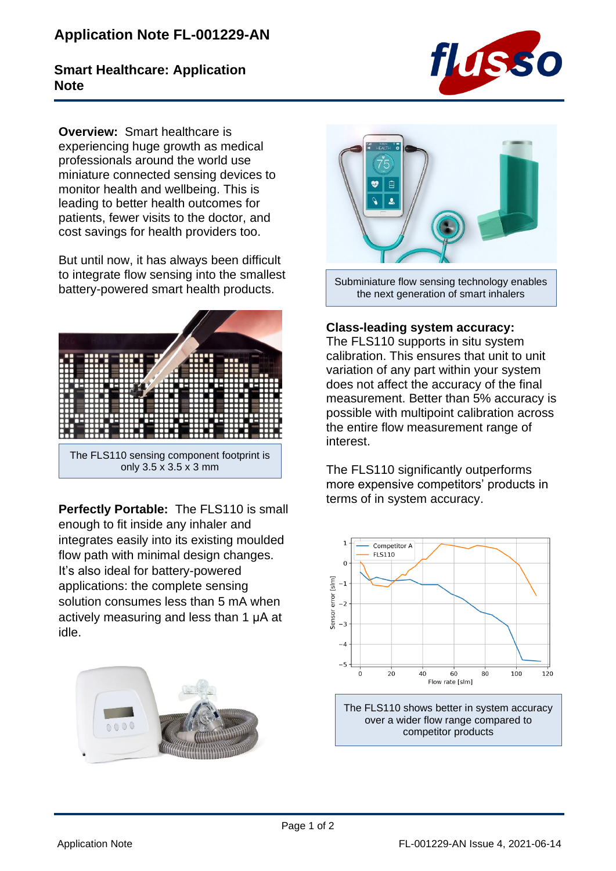## **Application Note FL-001229-AN**

## **Smart Healthcare: Application Note**



**Overview:** Smart healthcare is experiencing huge growth as medical professionals around the world use miniature connected sensing devices to monitor health and wellbeing. This is leading to better health outcomes for patients, fewer visits to the doctor, and cost savings for health providers too.

But until now, it has always been difficult to integrate flow sensing into the smallest battery-powered smart health products.



**Perfectly Portable:** The FLS110 is small enough to fit inside any inhaler and integrates easily into its existing moulded flow path with minimal design changes. It's also ideal for battery-powered applications: the complete sensing solution consumes less than 5 mA when actively measuring and less than 1 μA at idle.





Subminiature flow sensing technology enables the next generation of smart inhalers

## **Class-leading system accuracy:**

The FLS110 supports in situ system calibration. This ensures that unit to unit variation of any part within your system does not affect the accuracy of the final measurement. Better than 5% accuracy is possible with multipoint calibration across the entire flow measurement range of interest.

The FLS110 significantly outperforms more expensive competitors' products in terms of in system accuracy.



The FLS110 shows better in system accuracy over a wider flow range compared to competitor products